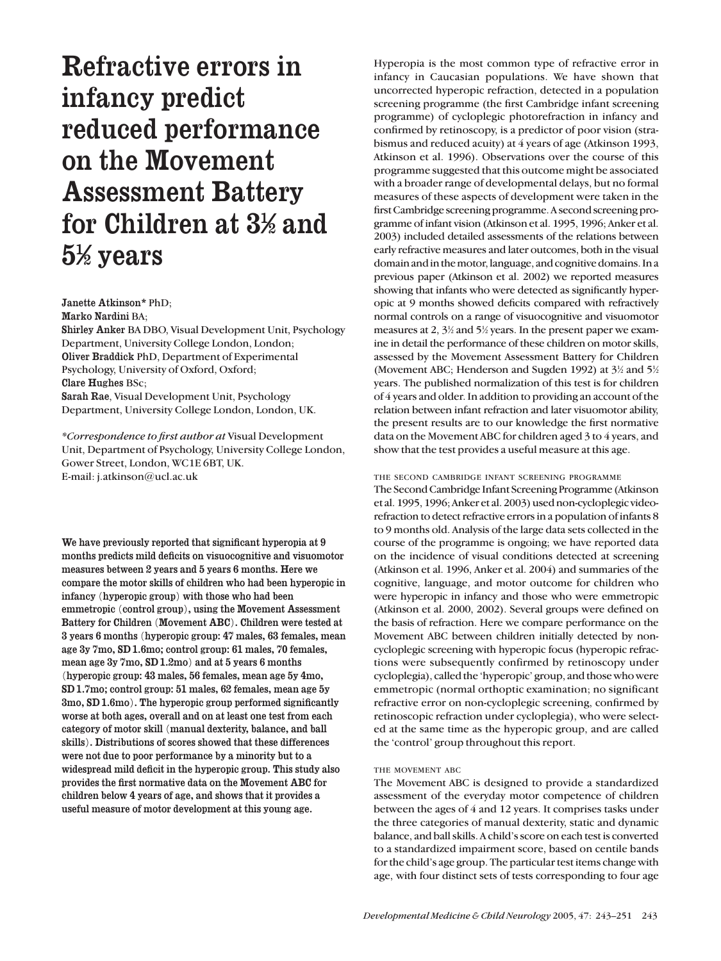Refractive errors in infancy predict reduced performance on the Movement Assessment Battery for Children at  $3\%$  and  $5\%$  years

Janette Atkinson\* PhD;

Marko Nardini BA;

Shirley Anker BA DBO, Visual Development Unit, Psychology Department, University College London, London; Oliver Braddick PhD, Department of Experimental Psychology, University of Oxford, Oxford; Clare Hughes BSc; Sarah Rae, Visual Development Unit, Psychology

Department, University College London, London, UK.

*\*Correspondence to first author at* Visual Development Unit, Department of Psychology, University College London, Gower Street, London, WC1E 6BT, UK. E-mail: j.atkinson@ucl.ac.uk

We have previously reported that significant hyperopia at 9 months predicts mild deficits on visuocognitive and visuomotor measures between 2 years and 5 years 6 months. Here we compare the motor skills of children who had been hyperopic in infancy (hyperopic group) with those who had been emmetropic (control group), using the Movement Assessment Battery for Children (Movement ABC). Children were tested at 3 years 6 months (hyperopic group: 47 males, 63 females, mean age 3y 7mo, SD1.6mo; control group: 61 males, 70 females, mean age 3y 7mo, SD1.2mo) and at 5 years 6 months (hyperopic group: 43 males, 56 females, mean age 5y 4mo, SD1.7mo; control group: 51 males, 62 females, mean age 5y 3mo, SD1.6mo). The hyperopic group performed significantly worse at both ages, overall and on at least one test from each category of motor skill (manual dexterity, balance, and ball skills). Distributions of scores showed that these differences were not due to poor performance by a minority but to a widespread mild deficit in the hyperopic group. This study also provides the first normative data on the Movement ABC for children below 4 years of age, and shows that it provides a useful measure of motor development at this young age.

Hyperopia is the most common type of refractive error in infancy in Caucasian populations. We have shown that uncorrected hyperopic refraction, detected in a population screening programme (the first Cambridge infant screening programme) of cycloplegic photorefraction in infancy and confirmed by retinoscopy, is a predictor of poor vision (strabismus and reduced acuity) at 4 years of age (Atkinson 1993, Atkinson et al. 1996). Observations over the course of this programme suggested that this outcome might be associated with a broader range of developmental delays, but no formal measures of these aspects of development were taken in the first Cambridge screening programme. A second screening programme of infant vision (Atkinson et al. 1995, 1996; Anker et al. 2003) included detailed assessments of the relations between early refractive measures and later outcomes, both in the visual domain and in the motor, language, and cognitive domains. In a previous paper (Atkinson et al. 2002) we reported measures showing that infants who were detected as significantly hyperopic at 9 months showed deficits compared with refractively normal controls on a range of visuocognitive and visuomotor measures at 2,  $3\frac{1}{2}$  and  $5\frac{1}{2}$  years. In the present paper we examine in detail the performance of these children on motor skills, assessed by the Movement Assessment Battery for Children (Movement ABC; Henderson and Sugden 1992) at 3<sup>1/2</sup> and 5<sup>1/2</sup> years. The published normalization of this test is for children of 4 years and older. In addition to providing an account of the relation between infant refraction and later visuomotor ability, the present results are to our knowledge the first normative data on the Movement ABC for children aged 3 to 4 years, and show that the test provides a useful measure at this age.

## THE SECOND CAMBRIDGE INFANT SCREENING PROGRAMME

The Second Cambridge Infant Screening Programme (Atkinson et al. 1995, 1996; Anker et al. 2003) used non-cycloplegic videorefraction to detect refractive errors in a population of infants 8 to 9 months old. Analysis of the large data sets collected in the course of the programme is ongoing; we have reported data on the incidence of visual conditions detected at screening (Atkinson et al. 1996, Anker et al. 2004) and summaries of the cognitive, language, and motor outcome for children who were hyperopic in infancy and those who were emmetropic (Atkinson et al. 2000, 2002). Several groups were defined on the basis of refraction. Here we compare performance on the Movement ABC between children initially detected by noncycloplegic screening with hyperopic focus (hyperopic refractions were subsequently confirmed by retinoscopy under cycloplegia), called the 'hyperopic' group, and those who were emmetropic (normal orthoptic examination; no significant refractive error on non-cycloplegic screening, confirmed by retinoscopic refraction under cycloplegia), who were selected at the same time as the hyperopic group, and are called the 'control' group throughout this report.

## THE MOVEMENT ABC

The Movement ABC is designed to provide a standardized assessment of the everyday motor competence of children between the ages of 4 and 12 years. It comprises tasks under the three categories of manual dexterity, static and dynamic balance, and ball skills. A child's score on each test is converted to a standardized impairment score, based on centile bands for the child's age group. The particular test items change with age, with four distinct sets of tests corresponding to four age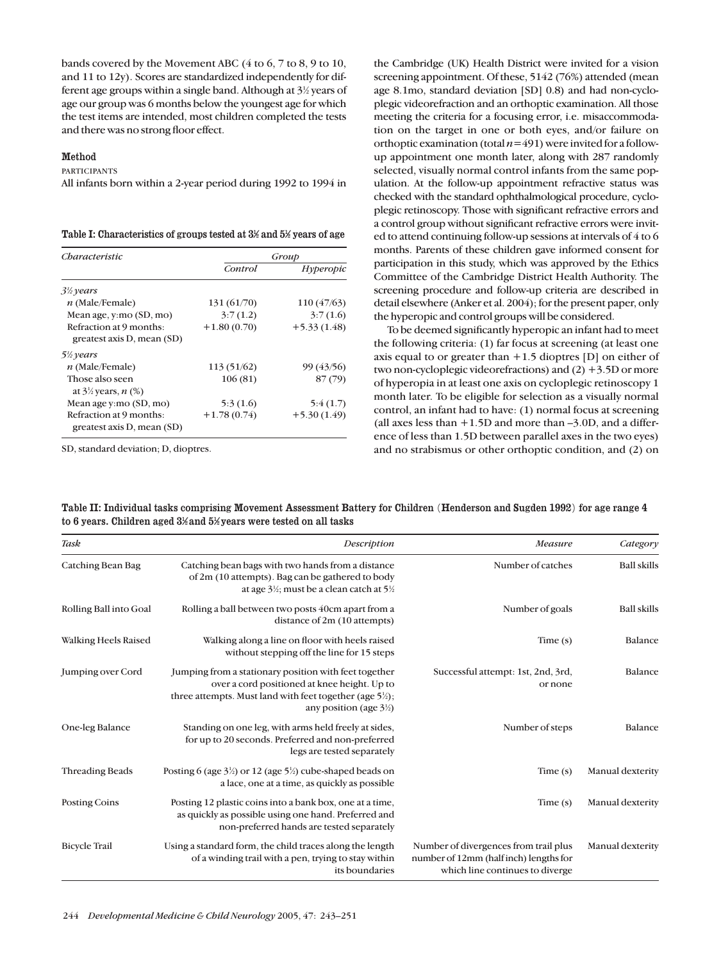bands covered by the Movement ABC (4 to 6, 7 to 8, 9 to 10, and 11 to 12y). Scores are standardized independently for different age groups within a single band. Although at  $3\frac{1}{2}$  years of age our group was 6 months below the youngest age for which the test items are intended, most children completed the tests and there was no strong floor effect.

## Method

PARTICIPANTS

All infants born within a 2-year period during 1992 to 1994 in

| <b>Table I:</b> Characteristics of groups tested at $3\frac{1}{2}$ and $5\frac{1}{2}$ years of age |  |  |  |  |
|----------------------------------------------------------------------------------------------------|--|--|--|--|
|----------------------------------------------------------------------------------------------------|--|--|--|--|

| Characteristic                                           | Group         |               |  |  |
|----------------------------------------------------------|---------------|---------------|--|--|
|                                                          | Control       | Hyperopic     |  |  |
| $3\%$ years                                              |               |               |  |  |
| $n$ (Male/Female)                                        | 131 (61/70)   | 110(47/63)    |  |  |
| Mean age, y:mo (SD, mo)                                  | 3:7(1.2)      | 3:7(1.6)      |  |  |
| Refraction at 9 months:<br>greatest axis D, mean (SD)    | $+1.80(0.70)$ | $+5.33(1.48)$ |  |  |
| $5\%$ years                                              |               |               |  |  |
| $n$ (Male/Female)                                        | 113 (51/62)   | 99 (43/56)    |  |  |
| Those also seen<br>at $3\frac{1}{2}$ years, <i>n</i> (%) | 106 (81)      | 87 (79)       |  |  |
| Mean age $y$ : mo $(SD, mo)$                             | 5:3(1.6)      | 5:4(1.7)      |  |  |
| Refraction at 9 months:<br>greatest axis D, mean (SD)    | $+1.78(0.74)$ | $+5.30(1.49)$ |  |  |

SD, standard deviation; D, dioptres.

the Cambridge (UK) Health District were invited for a vision screening appointment. Of these, 5142 (76%) attended (mean age 8.1mo, standard deviation [SD] 0.8) and had non-cycloplegic videorefraction and an orthoptic examination. All those meeting the criteria for a focusing error, i.e. misaccommodation on the target in one or both eyes, and/or failure on orthoptic examination (total  $n=491$ ) were invited for a followup appointment one month later, along with 287 randomly selected, visually normal control infants from the same population. At the follow-up appointment refractive status was checked with the standard ophthalmological procedure, cycloplegic retinoscopy. Those with significant refractive errors and a control group without significant refractive errors were invited to attend continuing follow-up sessions at intervals of 4 to 6 months. Parents of these children gave informed consent for participation in this study, which was approved by the Ethics Committee of the Cambridge District Health Authority. The screening procedure and follow-up criteria are described in detail elsewhere (Anker et al. 2004); for the present paper, only the hyperopic and control groups will be considered.

To be deemed significantly hyperopic an infant had to meet the following criteria: (1) far focus at screening (at least one axis equal to or greater than  $+1.5$  dioptres [D] on either of two non-cycloplegic videorefractions) and  $(2) + 3.5D$  or more of hyperopia in at least one axis on cycloplegic retinoscopy 1 month later. To be eligible for selection as a visually normal control, an infant had to have: (1) normal focus at screening (all axes less than  $+1.5D$  and more than  $-3.0D$ , and a difference of less than 1.5D between parallel axes in the two eyes) and no strabismus or other orthoptic condition, and (2) on

| Category           | Measure                                                                                                            | Description                                                                                                                                                                                                                       | Task                     |
|--------------------|--------------------------------------------------------------------------------------------------------------------|-----------------------------------------------------------------------------------------------------------------------------------------------------------------------------------------------------------------------------------|--------------------------|
| <b>Ball skills</b> | Number of catches                                                                                                  | Catching bean bags with two hands from a distance<br>of 2m (10 attempts). Bag can be gathered to body<br>at age $3\frac{1}{2}$ ; must be a clean catch at $5\frac{1}{2}$                                                          | <b>Catching Bean Bag</b> |
| <b>Ball skills</b> | Number of goals                                                                                                    | Rolling a ball between two posts 40cm apart from a<br>distance of 2m (10 attempts)                                                                                                                                                | Rolling Ball into Goal   |
| Balance            | Time $(s)$                                                                                                         | Walking along a line on floor with heels raised<br>without stepping off the line for 15 steps                                                                                                                                     | Walking Heels Raised     |
| <b>Balance</b>     | Successful attempt: 1st, 2nd, 3rd,<br>or none                                                                      | Jumping from a stationary position with feet together<br>over a cord positioned at knee height. Up to<br>three attempts. Must land with feet together (age 5 <sup>1</sup> / <sub>2</sub> );<br>any position (age $3\frac{1}{2}$ ) | <b>Jumping over Cord</b> |
| Balance            | Number of steps                                                                                                    | Standing on one leg, with arms held freely at sides,<br>for up to 20 seconds. Preferred and non-preferred<br>legs are tested separately                                                                                           | One-leg Balance          |
| Manual dexterity   | Time(s)                                                                                                            | Posting 6 (age $3\frac{1}{2}$ ) or 12 (age $5\frac{1}{2}$ ) cube-shaped beads on<br>a lace, one at a time, as quickly as possible                                                                                                 | <b>Threading Beads</b>   |
| Manual dexterity   | Time(s)                                                                                                            | Posting 12 plastic coins into a bank box, one at a time,<br>as quickly as possible using one hand. Preferred and<br>non-preferred hands are tested separately                                                                     | Posting Coins            |
| Manual dexterity   | Number of divergences from trail plus<br>number of 12mm (half inch) lengths for<br>which line continues to diverge | Using a standard form, the child traces along the length<br>of a winding trail with a pen, trying to stay within<br>its boundaries                                                                                                | <b>Bicycle Trail</b>     |

Table II: Individual tasks comprising Movement Assessment Battery for Children (Henderson and Sugden 1992) for age range 4 to 6 years. Children aged 3½ and 5½ years were tested on all tasks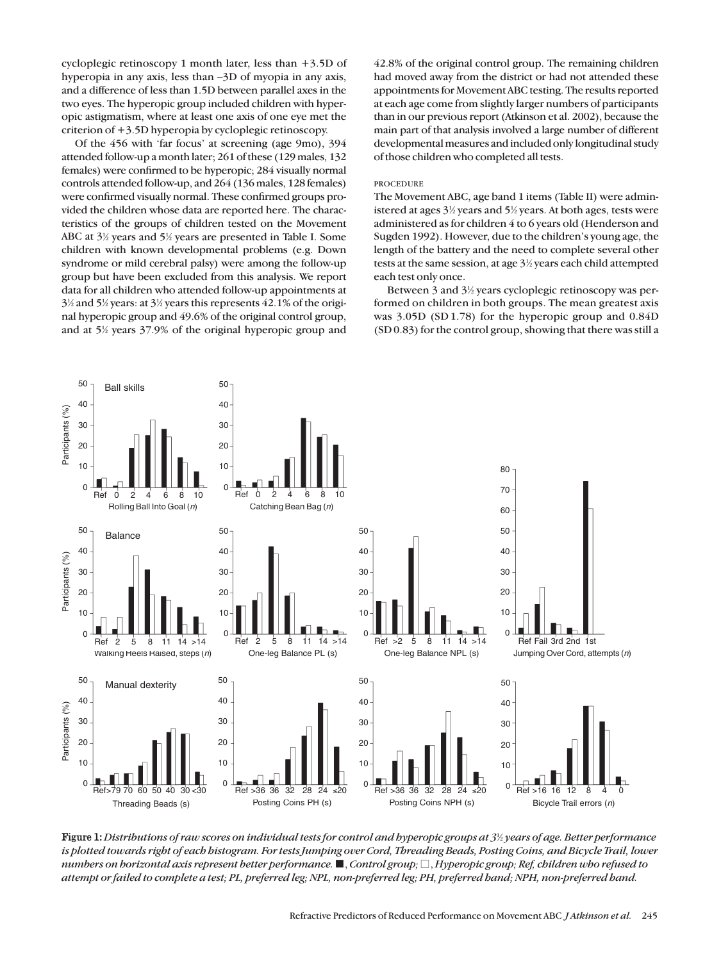cycloplegic retinoscopy 1 month later, less than +3.5D of hyperopia in any axis, less than  $-3D$  of myopia in any axis, and a difference of less than 1.5D between parallel axes in the two eyes. The hyperopic group included children with hyperopic astigmatism, where at least one axis of one eye met the criterion of +3.5D hyperopia by cycloplegic retinoscopy.

Of the 456 with 'far focus' at screening (age 9mo), 394 attended follow-up a month later; 261 of these (129 males, 132 females) were confirmed to be hyperopic; 284 visually normal controls attended follow-up, and 264 (136 males, 128 females) were confirmed visually normal. These confirmed groups provided the children whose data are reported here. The characteristics of the groups of children tested on the Movement ABC at  $3\frac{1}{2}$  years and  $5\frac{1}{2}$  years are presented in Table I. Some children with known developmental problems (e.g. Down syndrome or mild cerebral palsy) were among the follow-up group but have been excluded from this analysis. We report data for all children who attended follow-up appointments at 3<sup>1</sup>/<sub>2</sub> and 5<sup>1</sup>/<sub>2</sub> years: at 3<sup>1</sup>/<sub>2</sub> years this represents 42.1% of the original hyperopic group and 49.6% of the original control group, and at 5<sup>1/2</sup> years 37.9% of the original hyperopic group and

42.8% of the original control group. The remaining children had moved away from the district or had not attended these appointments for Movement ABC testing. The results reported at each age come from slightly larger numbers of participants than in our previous report (Atkinson et al. 2002), because the main part of that analysis involved a large number of different developmental measures and included only longitudinal study of those children who completed all tests.

## **PROCEDURE**

The Movement ABC, age band 1 items (Table II) were administered at ages  $3\frac{1}{2}$  years and  $5\frac{1}{2}$  years. At both ages, tests were administered as for children 4 to 6 years old (Henderson and Sugden 1992). However, due to the children's young age, the length of the battery and the need to complete several other tests at the same session, at age  $3\frac{1}{2}$  years each child attempted each test only once.

Between 3 and 3<sup>1/2</sup> years cycloplegic retinoscopy was performed on children in both groups. The mean greatest axis was 3.05D (SD 1.78) for the hyperopic group and 0.84D (SD 0.83) for the control group, showing that there was still a



Figure 1: *Distributions of raw scores on individual tests for control and hyperopic groups at 3*<sup>1</sup> ⁄2 *years of age. Better performance is plotted towards right of each histogram. For tests Jumping over Cord, Threading Beads, Posting Coins, and Bicycle Trail, lower numbers on horizontal axis represent better performance.* ■, *Control group;* ■, *Hyperopic group; Ref, children who refused to attempt or failed to complete a test; PL, preferred leg; NPL, non-preferred leg; PH, preferred hand; NPH, non-preferred hand.*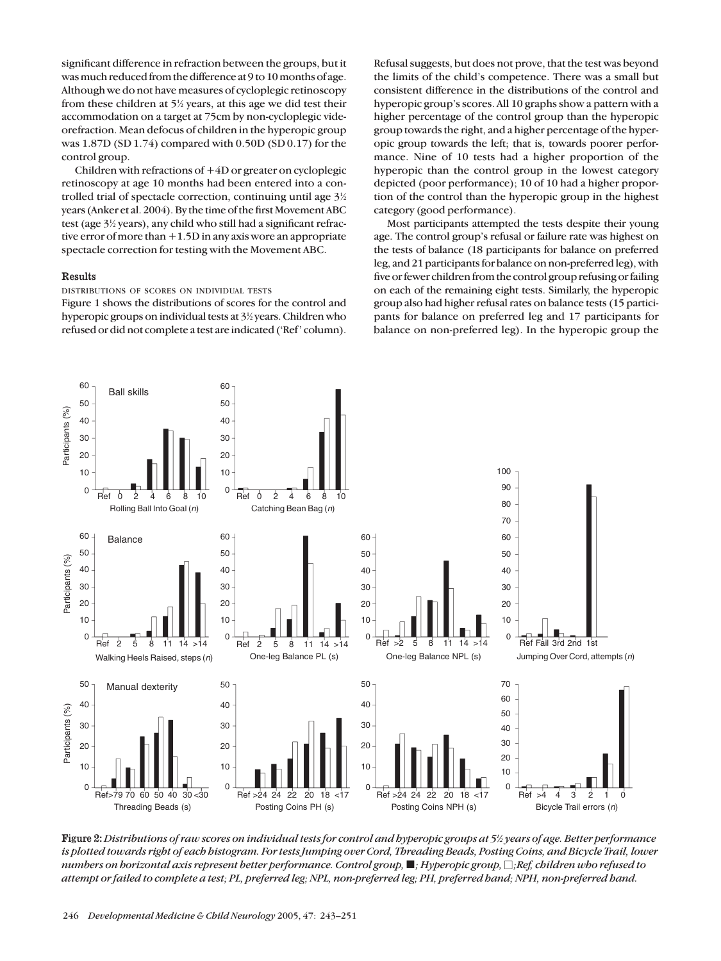significant difference in refraction between the groups, but it was much reduced from the difference at 9 to 10 months of age. Although we do not have measures of cycloplegic retinoscopy from these children at 5<sup>1</sup>/<sub>2</sub> years, at this age we did test their accommodation on a target at 75cm by non-cycloplegic videorefraction. Mean defocus of children in the hyperopic group was 1.87D (SD 1.74) compared with 0.50D (SD 0.17) for the control group.

Children with refractions of +4D or greater on cycloplegic retinoscopy at age 10 months had been entered into a controlled trial of spectacle correction, continuing until age  $3\%$ years (Anker et al. 2004). By the time of the first Movement ABC test (age 3<sup>1/2</sup> years), any child who still had a significant refractive error of more than +1.5D in any axis wore an appropriate spectacle correction for testing with the Movement ABC.

## Results

#### DISTRIBUTIONS OF SCORES ON INDIVIDUAL TESTS

Figure 1 shows the distributions of scores for the control and hyperopic groups on individual tests at  $3\frac{1}{2}$  years. Children who refused or did not complete a test are indicated ('Ref' column). Refusal suggests, but does not prove, that the test was beyond the limits of the child's competence. There was a small but consistent difference in the distributions of the control and hyperopic group's scores. All 10 graphs show a pattern with a higher percentage of the control group than the hyperopic group towards the right, and a higher percentage of the hyperopic group towards the left; that is, towards poorer performance. Nine of 10 tests had a higher proportion of the hyperopic than the control group in the lowest category depicted (poor performance); 10 of 10 had a higher proportion of the control than the hyperopic group in the highest category (good performance).

Most participants attempted the tests despite their young age. The control group's refusal or failure rate was highest on the tests of balance (18 participants for balance on preferred leg, and 21 participants for balance on non-preferred leg), with five or fewer children from the control group refusing or failing on each of the remaining eight tests. Similarly, the hyperopic group also had higher refusal rates on balance tests (15 participants for balance on preferred leg and 17 participants for balance on non-preferred leg). In the hyperopic group the



Figure 2: *Distributions of raw scores on individual tests for control and hyperopic groups at 51 ⁄2 years of age. Better performance is plotted towards right of each histogram. For tests Jumping over Cord, Threading Beads, Posting Coins, and Bicycle Trail, lower numbers on horizontal axis represent better performance. Control group,* ■*; Hyperopic group,* ■*;Ref, children who refused to attempt or failed to complete a test; PL, preferred leg; NPL, non-preferred leg; PH, preferred hand; NPH, non-preferred hand.*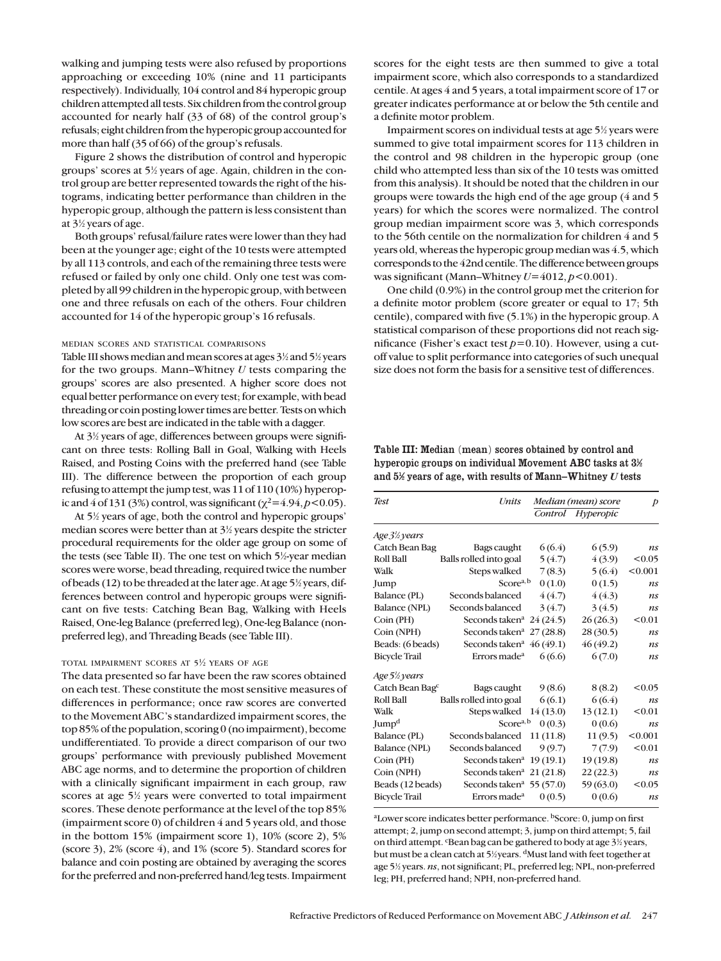walking and jumping tests were also refused by proportions approaching or exceeding 10% (nine and 11 participants respectively). Individually, 104 control and 84 hyperopic group children attempted all tests. Six children from the control group accounted for nearly half (33 of 68) of the control group's refusals; eight children from the hyperopic group accounted for more than half (35 of 66) of the group's refusals.

Figure 2 shows the distribution of control and hyperopic groups' scores at 51 ⁄2 years of age. Again, children in the control group are better represented towards the right of the histograms, indicating better performance than children in the hyperopic group, although the pattern is less consistent than at  $3\frac{1}{2}$  years of age.

Both groups' refusal/failure rates were lower than they had been at the younger age; eight of the 10 tests were attempted by all 113 controls, and each of the remaining three tests were refused or failed by only one child. Only one test was completed by all 99 children in the hyperopic group, with between one and three refusals on each of the others. Four children accounted for 14 of the hyperopic group's 16 refusals.

## MEDIAN SCORES AND STATISTICAL COMPARISONS

Table III shows median and mean scores at ages  $3\%$  and  $5\%$  years for the two groups. Mann–Whitney *U* tests comparing the groups' scores are also presented. A higher score does not equal better performance on every test; for example, with bead threading or coin posting lower times are better. Tests on which low scores are best are indicated in the table with a dagger.

At  $3\frac{1}{2}$  years of age, differences between groups were significant on three tests: Rolling Ball in Goal, Walking with Heels Raised, and Posting Coins with the preferred hand (see Table III). The difference between the proportion of each group refusing to attempt the jump test, was 11 of 110 (10%) hyperopic and 4 of 131 (3%) control, was significant ( $\chi^2$ =4.94, *p*<0.05).

At 5<sup>1/2</sup> years of age, both the control and hyperopic groups' median scores were better than at  $3\frac{1}{2}$  years despite the stricter procedural requirements for the older age group on some of the tests (see Table II). The one test on which 5<sup>1</sup>/<sub>2</sub>-year median scores were worse, bead threading, required twice the number of beads (12) to be threaded at the later age. At age 5<sup>1/2</sup> years, differences between control and hyperopic groups were significant on five tests: Catching Bean Bag, Walking with Heels Raised, One-leg Balance (preferred leg), One-leg Balance (nonpreferred leg), and Threading Beads (see Table III).

## TOTAL IMPAIRMENT SCORES AT  $5\frac{1}{2}$  YEARS OF AGE

The data presented so far have been the raw scores obtained on each test. These constitute the most sensitive measures of differences in performance; once raw scores are converted to the Movement ABC's standardized impairment scores, the top 85% of the population, scoring 0 (no impairment), become undifferentiated. To provide a direct comparison of our two groups' performance with previously published Movement ABC age norms, and to determine the proportion of children with a clinically significant impairment in each group, raw scores at age 5<sup>1/2</sup> years were converted to total impairment scores. These denote performance at the level of the top 85% (impairment score 0) of children 4 and 5 years old, and those in the bottom 15% (impairment score 1), 10% (score 2), 5% (score 3), 2% (score 4), and 1% (score 5). Standard scores for balance and coin posting are obtained by averaging the scores for the preferred and non-preferred hand/leg tests. Impairment scores for the eight tests are then summed to give a total impairment score, which also corresponds to a standardized centile. At ages 4 and 5 years, a total impairment score of 17 or greater indicates performance at or below the 5th centile and a definite motor problem.

Impairment scores on individual tests at age  $5\%$  years were summed to give total impairment scores for 113 children in the control and 98 children in the hyperopic group (one child who attempted less than six of the 10 tests was omitted from this analysis). It should be noted that the children in our groups were towards the high end of the age group (4 and 5 years) for which the scores were normalized. The control group median impairment score was 3, which corresponds to the 56th centile on the normalization for children 4 and 5 years old, whereas the hyperopic group median was 4.5, which corresponds to the 42nd centile. The difference between groups was significant (Mann–Whitney  $U=4012$ ,  $p < 0.001$ ).

One child (0.9%) in the control group met the criterion for a definite motor problem (score greater or equal to 17; 5th centile), compared with five (5.1%) in the hyperopic group. A statistical comparison of these proportions did not reach significance (Fisher's exact test *p*=0.10). However, using a cutoff value to split performance into categories of such unequal size does not form the basis for a sensitive test of differences.

Table III: Median (mean) scores obtained by control and hyperopic groups on individual Movement ABC tasks at  $3\%$ and  $5\%$  years of age, with results of Mann–Whitney  $U$  tests

| <b>Test</b>                             | Units                                 | Median (mean) score |           | $\mathcal{D}$ |
|-----------------------------------------|---------------------------------------|---------------------|-----------|---------------|
|                                         |                                       | Control             | Hyperopic |               |
| Age 3 <sup>1</sup> / <sub>2</sub> years |                                       |                     |           |               |
| Catch Bean Bag                          | Bags caught                           | 6(6.4)              | 6(5.9)    | ns            |
| <b>Roll Ball</b>                        | Balls rolled into goal                | 5(4.7)              | (3.9)     | < 0.05        |
| Walk                                    | Steps walked                          | 7(8.3)              | 5(6.4)    | < 0.001       |
| Jump                                    | Score <sup>a, b</sup>                 | 0(1.0)              | 0(1.5)    | ns            |
| Balance (PL)                            | Seconds balanced                      | 4(4.7)              | 4(4.3)    | ns            |
| Balance (NPL)                           | Seconds balanced                      | 3(4.7)              | 3(4.5)    | ns            |
| $Coin$ (PH)                             | Seconds taken <sup>a</sup> $24(24.5)$ |                     | 26(26.3)  | < 0.01        |
| Coin (NPH)                              | Seconds taken <sup>a</sup> $27(28.8)$ |                     | 28(30.5)  | ns            |
| Beads: (6 beads)                        | Seconds taken <sup>a</sup> $46(49.1)$ |                     | 46 (49.2) | ns            |
| <b>Bicycle Trail</b>                    | Errors made <sup>a</sup>              | 6(6.6)              | 6(7.0)    | ns            |
| Age 5½ years                            |                                       |                     |           |               |
| Catch Bean Bag <sup>c</sup>             | Bags caught                           | 9(8.6)              | 8(8.2)    | <0.05         |
| <b>Roll Ball</b>                        | Balls rolled into goal                | 6(6.1)              | 6(6.4)    | ns            |
| Walk                                    | Steps walked $14(13.0)$               |                     | 13(12.1)  | < 0.01        |
| Jump <sup>d</sup>                       | Score <sup>a, b</sup>                 | 0(0.3)              | 0(0.6)    | ns            |
| Balance (PL)                            | Seconds balanced                      | 11(11.8)            | 11(9.5)   | < 0.001       |
| Balance (NPL)                           | Seconds balanced                      | 9(9.7)              | 7(7.9)    | < 0.01        |
| Coin (PH)                               | Seconds taken $4$ 19 (19.1)           |                     | 19(19.8)  | ns            |
| Coin (NPH)                              | Seconds taken <sup>a</sup> 21 (21.8)  |                     | 22(22.3)  | ns            |
| Beads (12 beads)                        | Seconds taken <sup>a</sup> 55 (57.0)  |                     | 59 (63.0) | < 0.05        |
| <b>Bicycle Trail</b>                    | Errors made <sup>a</sup>              | 0(0.5)              | 0(0.6)    | ns            |

<sup>a</sup>Lower score indicates better performance. <sup>b</sup>Score: 0, jump on first attempt; 2, jump on second attempt; 3, jump on third attempt; 5, fail on third attempt. CBean bag can be gathered to body at age 3<sup>1</sup>/<sub>2</sub> years, but must be a clean catch at 5½ years.  $^{\rm d}$ Must land with feet together at age 51 ⁄2 years. *ns*, not significant; PL, preferred leg; NPL, non-preferred leg; PH, preferred hand; NPH, non-preferred hand.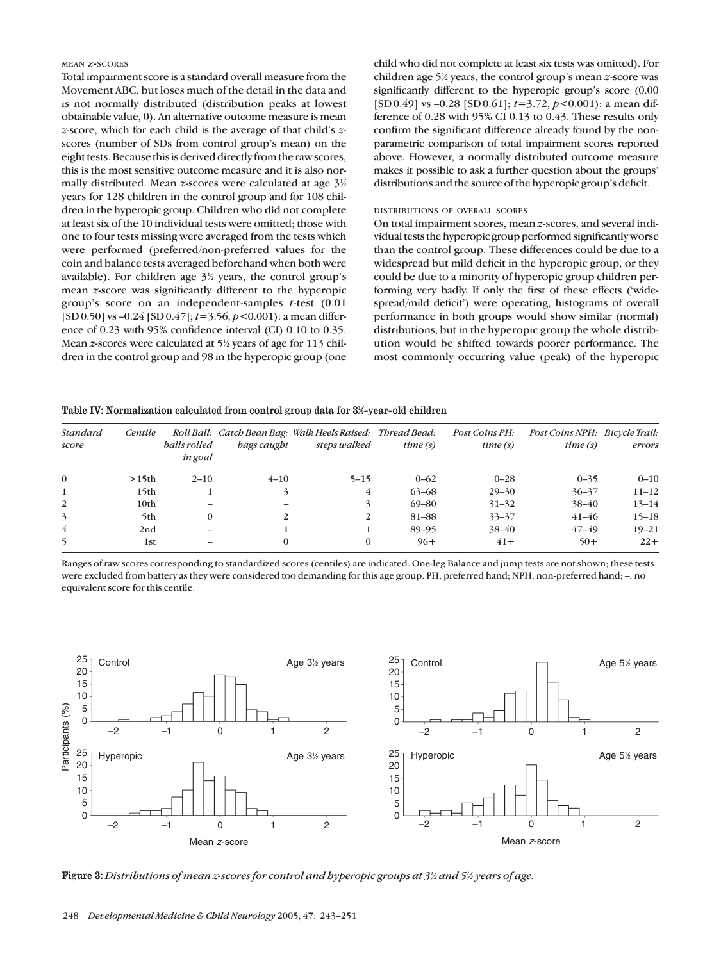## MEAN *Z*-SCORES

Total impairment score is a standard overall measure from the Movement ABC, but loses much of the detail in the data and is not normally distributed (distribution peaks at lowest obtainable value, 0). An alternative outcome measure is mean *z*-score, which for each child is the average of that child's *z*scores (number of SDs from control group's mean) on the eight tests. Because this is derived directly from the raw scores, this is the most sensitive outcome measure and it is also normally distributed. Mean *z*-scores were calculated at age  $3\frac{1}{2}$ years for 128 children in the control group and for 108 children in the hyperopic group. Children who did not complete at least six of the 10 individual tests were omitted; those with one to four tests missing were averaged from the tests which were performed (preferred/non-preferred values for the coin and balance tests averaged beforehand when both were available). For children age  $3\frac{1}{2}$  years, the control group's mean *z*-score was significantly different to the hyperopic group's score on an independent-samples *t*-test (0.01 [SD0.50] vs –0.24 [SD0.47]; *t*=3.56, *p*<0.001): a mean difference of 0.23 with 95% confidence interval (CI) 0.10 to 0.35. Mean *z*-scores were calculated at 5<sup>1</sup>/<sub>2</sub> years of age for 113 children in the control group and 98 in the hyperopic group (one child who did not complete at least six tests was omitted). For children age 5<sup>1/2</sup> years, the control group's mean *z*-score was significantly different to the hyperopic group's score (0.00 [SD 0.49] vs –0.28 [SD 0.61]; *t*=3.72, *p*<0.001): a mean difference of 0.28 with 95% CI 0.13 to 0.43. These results only confirm the significant difference already found by the nonparametric comparison of total impairment scores reported above. However, a normally distributed outcome measure makes it possible to ask a further question about the groups' distributions and the source of the hyperopic group's deficit.

### DISTRIBUTIONS OF OVERALL SCORES

On total impairment scores, mean *z*-scores, and several individual tests the hyperopic group performed significantly worse than the control group. These differences could be due to a widespread but mild deficit in the hyperopic group, or they could be due to a minority of hyperopic group children performing very badly. If only the first of these effects ('widespread/mild deficit') were operating, histograms of overall performance in both groups would show similar (normal) distributions, but in the hyperopic group the whole distribution would be shifted towards poorer performance. The most commonly occurring value (peak) of the hyperopic

## Table IV: Normalization calculated from control group data for 3½-year-old children

| <i>Standard</i><br>score | Centile          | balls rolled<br>in goal | bags caught | Roll Ball: Catch Bean Bag: Walk Heels Raised: Thread Bead:<br>steps walked | time(s)   | Post Coins PH:<br>time(s) | Post Coins NPH: Bicycle Trail:<br>time(s) | errors    |
|--------------------------|------------------|-------------------------|-------------|----------------------------------------------------------------------------|-----------|---------------------------|-------------------------------------------|-----------|
| $\Omega$                 | >15th            | $2 - 10$                | $4 - 10$    | $5 - 15$                                                                   | $0 - 62$  | $0 - 28$                  | $0 - 35$                                  | $0 - 10$  |
|                          | 15 <sub>th</sub> |                         | 3           | 4                                                                          | $63 - 68$ | $29 - 30$                 | $36 - 37$                                 | $11 - 12$ |
| <sup>2</sup>             | 10th             |                         |             | 3                                                                          | 69–80     | $31 - 32$                 | $38 - 40$                                 | $13 - 14$ |
| 3                        | 5th              | $\Omega$                | 2           | 2                                                                          | 81-88     | $33 - 37$                 | $41 - 46$                                 | $15 - 18$ |
| 4                        | 2nd              |                         |             |                                                                            | $89 - 95$ | $38 - 40$                 | $47 - 49$                                 | $19 - 21$ |
| $\sim$                   | 1st              |                         | 0           | 0                                                                          | $96+$     | $41+$                     | $50+$                                     | $22+$     |

Ranges of raw scores corresponding to standardized scores (centiles) are indicated. One-leg Balance and jump tests are not shown; these tests were excluded from battery as they were considered too demanding for this age group. PH, preferred hand; NPH, non-preferred hand; -, no equivalent score for this centile.



Figure 3: *Distributions of mean z-scores for control and hyperopic groups at 31 ⁄2 and 51 ⁄2 years of age.*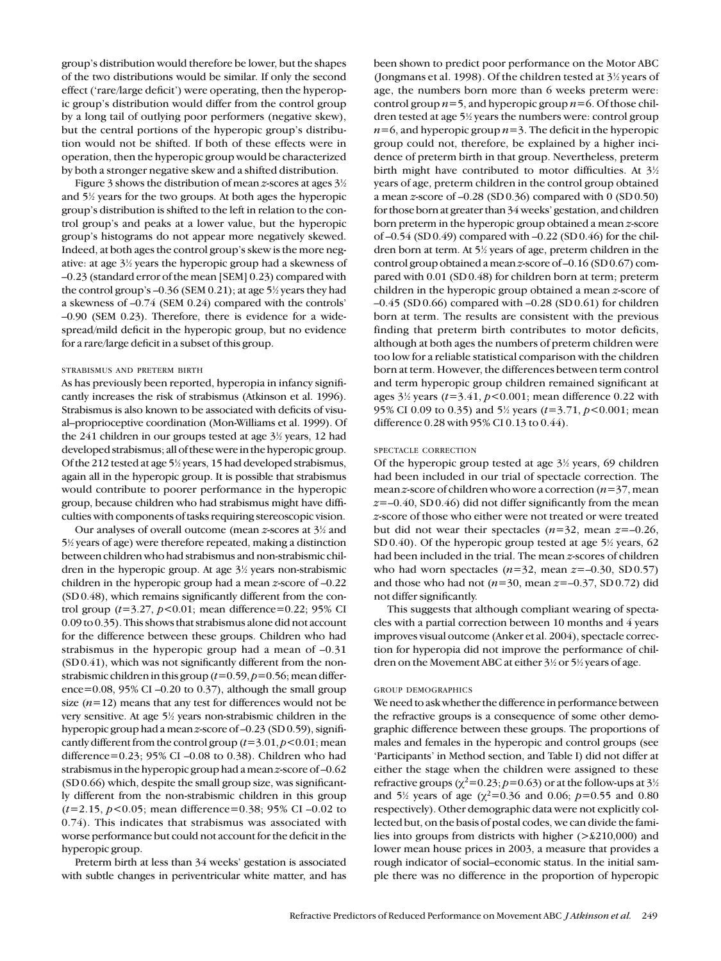group's distribution would therefore be lower, but the shapes of the two distributions would be similar. If only the second effect ('rare/large deficit') were operating, then the hyperopic group's distribution would differ from the control group by a long tail of outlying poor performers (negative skew), but the central portions of the hyperopic group's distribution would not be shifted. If both of these effects were in operation, then the hyperopic group would be characterized by both a stronger negative skew and a shifted distribution.

Figure 3 shows the distribution of mean *z*-scores at ages 3½ and 51 ⁄2 years for the two groups. At both ages the hyperopic group's distribution is shifted to the left in relation to the control group's and peaks at a lower value, but the hyperopic group's histograms do not appear more negatively skewed. Indeed, at both ages the control group's skew is the more negative: at age 31 ⁄2 years the hyperopic group had a skewness of –0.23 (standard error of the mean [SEM] 0.23) compared with the control group's  $-0.36$  (SEM 0.21); at age  $5\frac{1}{2}$  years they had a skewness of –0.74 (SEM 0.24) compared with the controls' –0.90 (SEM 0.23). Therefore, there is evidence for a widespread/mild deficit in the hyperopic group, but no evidence for a rare/large deficit in a subset of this group.

#### STRABISMUS AND PRETERM BIRTH

As has previously been reported, hyperopia in infancy significantly increases the risk of strabismus (Atkinson et al. 1996). Strabismus is also known to be associated with deficits of visual–proprioceptive coordination (Mon-Williams et al. 1999). Of the 241 children in our groups tested at age  $3\frac{1}{2}$  years, 12 had developed strabismus; all of these were in the hyperopic group. Of the 212 tested at age 5<sup>1/2</sup> years, 15 had developed strabismus, again all in the hyperopic group. It is possible that strabismus would contribute to poorer performance in the hyperopic group, because children who had strabismus might have difficulties with components of tasks requiring stereoscopic vision.

Our analyses of overall outcome (mean *z*-scores at  $3\frac{1}{2}$  and 51 ⁄2 years of age) were therefore repeated, making a distinction between children who had strabismus and non-strabismic children in the hyperopic group. At age  $3\frac{1}{2}$  years non-strabismic children in the hyperopic group had a mean *z*-score of –0.22 (SD0.48), which remains significantly different from the control group  $(t=3.27, p<0.01;$  mean difference=0.22; 95% CI 0.09 to 0.35). This shows that strabismus alone did not account for the difference between these groups. Children who had strabismus in the hyperopic group had a mean of –0.31 (SD0.41), which was not significantly different from the nonstrabismic children in this group (*t*=0.59, *p*=0.56; mean difference=0.08, 95% CI –0.20 to 0.37), although the small group size (*n*=12) means that any test for differences would not be very sensitive. At age 5<sup>1</sup>/<sub>2</sub> years non-strabismic children in the hyperopic group had a mean *z*-score of –0.23 (SD0.59), significantly different from the control group  $(t=3.01, p<0.01;$  mean difference=0.23; 95% CI –0.08 to 0.38). Children who had strabismus in the hyperopic group had a mean *z*-score of –0.62 (SD 0.66) which, despite the small group size, was significantly different from the non-strabismic children in this group (*t*=2.15, *p*<0.05; mean difference=0.38; 95% CI –0.02 to 0.74). This indicates that strabismus was associated with worse performance but could not account for the deficit in the hyperopic group.

Preterm birth at less than 34 weeks' gestation is associated with subtle changes in periventricular white matter, and has been shown to predict poor performance on the Motor ABC (Jongmans et al. 1998). Of the children tested at  $3\frac{1}{2}$  years of age, the numbers born more than 6 weeks preterm were: control group  $n=5$ , and hyperopic group  $n=6$ . Of those children tested at age 51 ⁄2 years the numbers were: control group  $n=6$ , and hyperopic group  $n=3$ . The deficit in the hyperopic group could not, therefore, be explained by a higher incidence of preterm birth in that group. Nevertheless, preterm birth might have contributed to motor difficulties. At  $3\frac{1}{2}$ years of age, preterm children in the control group obtained a mean *z*-score of –0.28 (SD0.36) compared with 0 (SD0.50) for those born at greater than 34 weeks' gestation, and children born preterm in the hyperopic group obtained a mean *z*-score of –0.54 (SD0.49) compared with –0.22 (SD0.46) for the children born at term. At 5<sup>1</sup>/<sub>2</sub> years of age, preterm children in the control group obtained a mean *z*-score of –0.16 (SD0.67) compared with 0.01 (SD0.48) for children born at term; preterm children in the hyperopic group obtained a mean *z*-score of –0.45 (SD 0.66) compared with –0.28 (SD 0.61) for children born at term. The results are consistent with the previous finding that preterm birth contributes to motor deficits, although at both ages the numbers of preterm children were too low for a reliable statistical comparison with the children born at term. However, the differences between term control and term hyperopic group children remained significant at ages  $3\frac{1}{2}$  years ( $t=3.41$ ,  $p<0.001$ ; mean difference 0.22 with 95% CI 0.09 to 0.35) and 51 ⁄2 years (*t*=3.71, *p*<0.001; mean difference 0.28 with 95% CI 0.13 to 0.44).

#### SPECTACLE CORRECTION

Of the hyperopic group tested at age  $3\frac{1}{2}$  years, 69 children had been included in our trial of spectacle correction. The mean *z*-score of children who wore a correction (*n*=37, mean *z*=–0.40, SD 0.46) did not differ significantly from the mean *z*-score of those who either were not treated or were treated but did not wear their spectacles (*n*=32, mean *z*=–0.26, SD 0.40). Of the hyperopic group tested at age  $5\frac{1}{2}$  years, 62 had been included in the trial. The mean *z*-scores of children who had worn spectacles  $(n=32, \text{ mean } z=-0.30, \text{ SD } 0.57)$ and those who had not (*n*=30, mean *z*=–0.37, SD 0.72) did not differ significantly.

This suggests that although compliant wearing of spectacles with a partial correction between 10 months and 4 years improves visual outcome (Anker et al. 2004), spectacle correction for hyperopia did not improve the performance of children on the Movement ABC at either 3<sup>1/2</sup> or 5<sup>1/2</sup> years of age.

#### GROUP DEMOGRAPHICS

Weneed to ask whether the difference in performance between the refractive groups is a consequence of some other demographic difference between these groups. The proportions of males and females in the hyperopic and control groups (see 'Participants' in Method section, and Table I) did not differ at either the stage when the children were assigned to these refractive groups ( $\chi^2$ =0.23; *p*=0.63) or at the follow-ups at 3<sup>1</sup>/<sub>2</sub> and 5<sup>1</sup>/<sub>2</sub> years of age ( $\chi^2$ =0.36 and 0.06; *p*=0.55 and 0.80 respectively). Other demographic data were not explicitly collected but, on the basis of postal codes, we can divide the families into groups from districts with higher (>£210,000) and lower mean house prices in 2003, a measure that provides a rough indicator of social–economic status. In the initial sample there was no difference in the proportion of hyperopic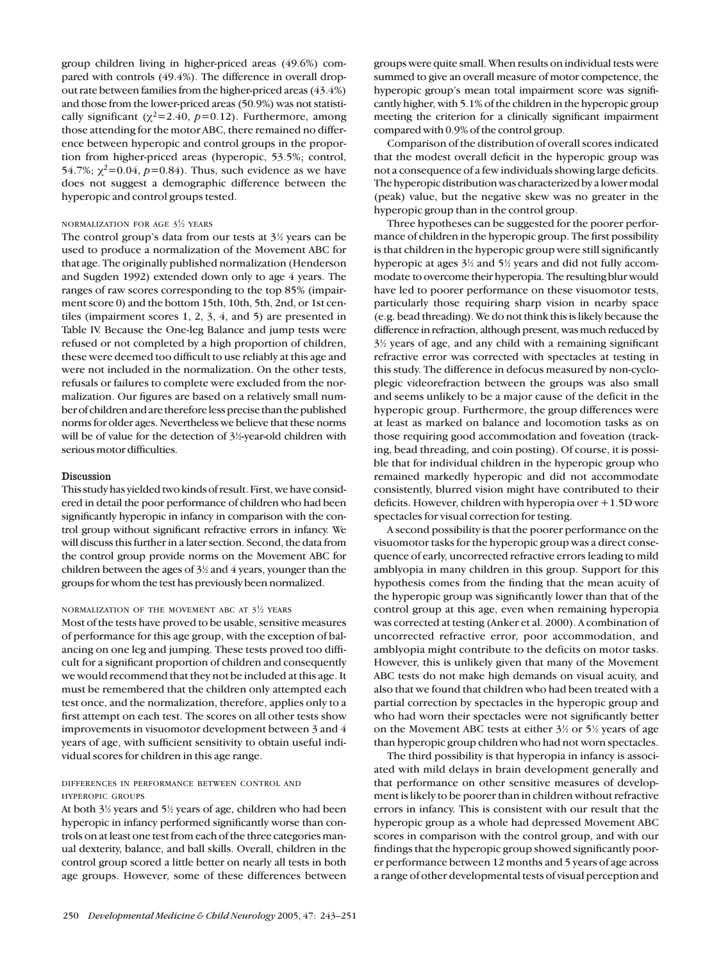group children living in higher-priced areas (49.6%) compared with controls (49.4%). The difference in overall dropout rate between families from the higher-priced areas (43.4%) and those from the lower-priced areas (50.9%) was not statistically significant ( $\chi^2$ =2.40, *p*=0.12). Furthermore, among those attending for the motor ABC, there remained no difference between hyperopic and control groups in the proportion from higher-priced areas (hyperopic, 53.5%; control, 54.7%;  $\chi^2$ =0.04, *p*=0.84). Thus, such evidence as we have does not suggest a demographic difference between the hyperopic and control groups tested.

## NORMALIZATION FOR AGE 3<sup>1/2</sup> YEARS

The control group's data from our tests at  $3\frac{1}{2}$  years can be used to produce a normalization of the Movement ABC for that age. The originally published normalization (Henderson and Sugden 1992) extended down only to age 4 years. The ranges of raw scores corresponding to the top 85% (impairment score 0) and the bottom 15th, 10th, 5th, 2nd, or 1st centiles (impairment scores 1, 2, 3, 4, and 5) are presented in Table IV. Because the One-leg Balance and jump tests were refused or not completed by a high proportion of children, these were deemed too difficult to use reliably at this age and were not included in the normalization. On the other tests, refusals or failures to complete were excluded from the normalization. Our figures are based on a relatively small number of children and are therefore less precise than the published norms for older ages. Nevertheless we believe that these norms will be of value for the detection of  $3\frac{1}{2}$ -year-old children with serious motor difficulties.

## **Discussion**

This study has yielded two kinds of result. First, we have considered in detail the poor performance of children who had been significantly hyperopic in infancy in comparison with the control group without significant refractive errors in infancy. We will discuss this further in a later section. Second, the data from the control group provide norms on the Movement ABC for children between the ages of  $3\frac{1}{2}$  and 4 years, younger than the groups for whom the test has previously been normalized.

## NORMALIZATION OF THE MOVEMENT ABC AT  $3\frac{1}{2}$  years

Most of the tests have proved to be usable, sensitive measures of performance for this age group, with the exception of balancing on one leg and jumping. These tests proved too difficult for a significant proportion of children and consequently we would recommend that they not be included at this age. It must be remembered that the children only attempted each test once, and the normalization, therefore, applies only to a first attempt on each test. The scores on all other tests show improvements in visuomotor development between 3 and 4 years of age, with sufficient sensitivity to obtain useful individual scores for children in this age range.

# DIFFERENCES IN PERFORMANCE BETWEEN CONTROL AND HYPEROPIC GROUPS

At both 3<sup>1/2</sup> years and 5<sup>1/2</sup> years of age, children who had been hyperopic in infancy performed significantly worse than controls on at least one test from each of the three categories manual dexterity, balance, and ball skills. Overall, children in the control group scored a little better on nearly all tests in both age groups. However, some of these differences between groups were quite small. When results on individual tests were summed to give an overall measure of motor competence, the hyperopic group's mean total impairment score was significantly higher, with 5.1% of the children in the hyperopic group meeting the criterion for a clinically significant impairment compared with 0.9% of the control group.

Comparison of the distribution of overall scores indicated that the modest overall deficit in the hyperopic group was not a consequence of a few individuals showing large deficits. The hyperopic distribution was characterized by a lower modal (peak) value, but the negative skew was no greater in the hyperopic group than in the control group.

Three hypotheses can be suggested for the poorer performance of children in the hyperopic group. The first possibility is that children in the hyperopic group were still significantly hyperopic at ages  $3\frac{1}{2}$  and  $5\frac{1}{2}$  years and did not fully accommodate to overcome their hyperopia. The resulting blur would have led to poorer performance on these visuomotor tests, particularly those requiring sharp vision in nearby space (e.g. bead threading). We do not think this is likely because the difference in refraction, although present, was much reduced by 31 ⁄2 years of age, and any child with a remaining significant refractive error was corrected with spectacles at testing in this study. The difference in defocus measured by non-cycloplegic videorefraction between the groups was also small and seems unlikely to be a major cause of the deficit in the hyperopic group. Furthermore, the group differences were at least as marked on balance and locomotion tasks as on those requiring good accommodation and foveation (tracking, bead threading, and coin posting). Of course, it is possible that for individual children in the hyperopic group who remained markedly hyperopic and did not accommodate consistently, blurred vision might have contributed to their deficits. However, children with hyperopia over +1.5D wore spectacles for visual correction for testing.

A second possibility is that the poorer performance on the visuomotor tasks for the hyperopic group was a direct consequence of early, uncorrected refractive errors leading to mild amblyopia in many children in this group. Support for this hypothesis comes from the finding that the mean acuity of the hyperopic group was significantly lower than that of the control group at this age, even when remaining hyperopia was corrected at testing (Anker et al. 2000). A combination of uncorrected refractive error, poor accommodation, and amblyopia might contribute to the deficits on motor tasks. However, this is unlikely given that many of the Movement ABC tests do not make high demands on visual acuity, and also that we found that children who had been treated with a partial correction by spectacles in the hyperopic group and who had worn their spectacles were not significantly better on the Movement ABC tests at either  $3\frac{1}{2}$  or  $5\frac{1}{2}$  years of age than hyperopic group children who had not worn spectacles.

The third possibility is that hyperopia in infancy is associated with mild delays in brain development generally and that performance on other sensitive measures of development is likely to be poorer than in children without refractive errors in infancy. This is consistent with our result that the hyperopic group as a whole had depressed Movement ABC scores in comparison with the control group, and with our findings that the hyperopic group showed significantly poorer performance between 12 months and 5 years of age across a range of other developmental tests of visual perception and